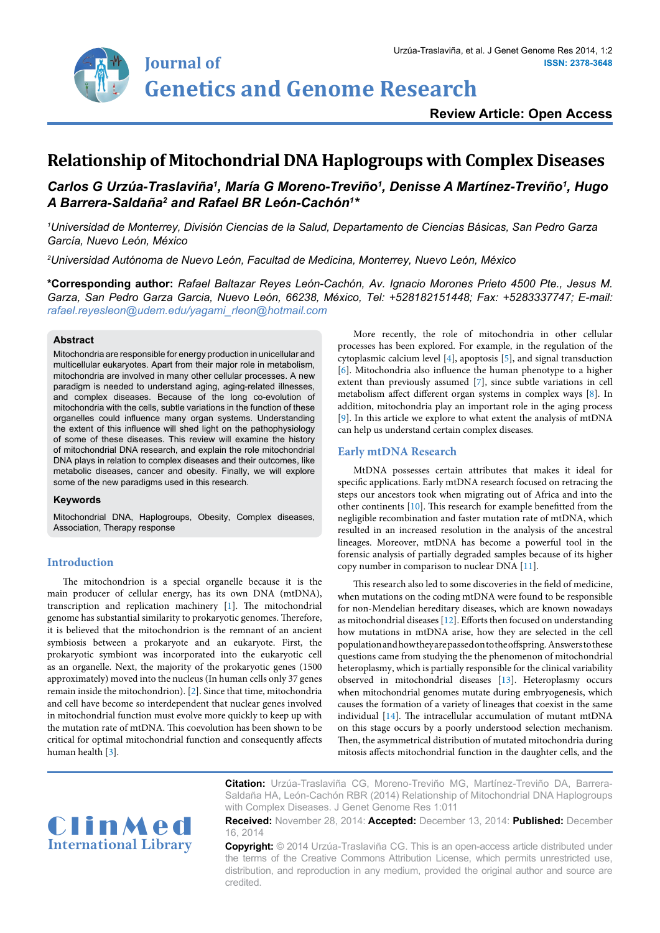

# **Review Article: Open Access**

# **Relationship of Mitochondrial DNA Haplogroups with Complex Diseases**

# *Carlos G Urzúa-Traslaviña1 , María G Moreno-Treviño1 , Denisse A Martínez-Treviño1 , Hugo A Barrera-Saldaña2 and Rafael BR León-Cachón1 \**

*1 Universidad de Monterrey, División Ciencias de la Salud, Departamento de Ciencias Básicas, San Pedro Garza García, Nuevo León, México*

*2 Universidad Autónoma de Nuevo León, Facultad de Medicina, Monterrey, Nuevo León, México*

**\*Corresponding author:** *Rafael Baltazar Reyes León-Cachón, Av. Ignacio Morones Prieto 4500 Pte., Jesus M. Garza, San Pedro Garza Garcia, Nuevo León, 66238, México, Tel: +528182151448; Fax: +5283337747; E-mail: rafael.reyesleon@udem.edu/yagami\_rleon@hotmail.com*

### **Abstract**

Mitochondria are responsible for energy production in unicellular and multicellular eukaryotes. Apart from their major role in metabolism, mitochondria are involved in many other cellular processes. A new paradigm is needed to understand aging, aging-related illnesses, and complex diseases. Because of the long co-evolution of mitochondria with the cells, subtle variations in the function of these organelles could influence many organ systems. Understanding the extent of this influence will shed light on the pathophysiology of some of these diseases. This review will examine the history of mitochondrial DNA research, and explain the role mitochondrial DNA plays in relation to complex diseases and their outcomes, like metabolic diseases, cancer and obesity. Finally, we will explore some of the new paradigms used in this research.

#### **Keywords**

Mitochondrial DNA, Haplogroups, Obesity, Complex diseases, Association, Therapy response

## **Introduction**

The mitochondrion is a special organelle because it is the main producer of cellular energy, has its own DNA (mtDNA), transcription and replication machinery [\[1](#page-3-11)]. The mitochondrial genome has substantial similarity to prokaryotic genomes. Therefore, it is believed that the mitochondrion is the remnant of an ancient symbiosis between a prokaryote and an eukaryote. First, the prokaryotic symbiont was incorporated into the eukaryotic cell as an organelle. Next, the majority of the prokaryotic genes (1500 approximately) moved into the nucleus (In human cells only 37 genes remain inside the mitochondrion). [\[2\]](#page-3-12). Since that time, mitochondria and cell have become so interdependent that nuclear genes involved in mitochondrial function must evolve more quickly to keep up with the mutation rate of mtDNA. This coevolution has been shown to be critical for optimal mitochondrial function and consequently affects human health [[3](#page-3-13)].

More recently, the role of mitochondria in other cellular processes has been explored. For example, in the regulation of the cytoplasmic calcium level [\[4](#page-3-0)], apoptosis [[5](#page-3-1)], and signal transduction [[6](#page-3-2)]. Mitochondria also influence the human phenotype to a higher extent than previously assumed [[7](#page-3-3)], since subtle variations in cell metabolism affect different organ systems in complex ways [[8](#page-3-4)]. In addition, mitochondria play an important role in the aging process [[9](#page-3-5)]. In this article we explore to what extent the analysis of mtDNA can help us understand certain complex diseases.

### **Early mtDNA Research**

MtDNA possesses certain attributes that makes it ideal for specific applications. Early mtDNA research focused on retracing the steps our ancestors took when migrating out of Africa and into the other continents [\[10\]](#page-3-6). This research for example benefitted from the negligible recombination and faster mutation rate of mtDNA, which resulted in an increased resolution in the analysis of the ancestral lineages. Moreover, mtDNA has become a powerful tool in the forensic analysis of partially degraded samples because of its higher copy number in comparison to nuclear DNA [\[11\]](#page-3-7).

This research also led to some discoveries in the field of medicine, when mutations on the coding mtDNA were found to be responsible for non-Mendelian hereditary diseases, which are known nowadays as mitochondrial diseases [[12](#page-3-8)]. Efforts then focused on understanding how mutations in mtDNA arise, how they are selected in the cell population and how they are passed on to the offspring. Answers to these questions came from studying the the phenomenon of mitochondrial heteroplasmy, which is partially responsible for the clinical variability observed in mitochondrial diseases [\[13\]](#page-3-9). Heteroplasmy occurs when mitochondrial genomes mutate during embryogenesis, which causes the formation of a variety of lineages that coexist in the same individual [\[14\]](#page-3-10). The intracellular accumulation of mutant mtDNA on this stage occurs by a poorly understood selection mechanism. Then, the asymmetrical distribution of mutated mitochondria during mitosis affects mitochondrial function in the daughter cells, and the



**Citation:** Urzúa-Traslaviña CG, Moreno-Treviño MG, Martínez-Treviño DA, Barrera-Saldaña HA, León-Cachón RBR (2014) Relationship of Mitochondrial DNA Haplogroups with Complex Diseases. J Genet Genome Res 1:011

**Received:** November 28, 2014: **Accepted:** December 13, 2014: **Published:** December 16, 2014

**Copyright:** © 2014 Urzúa-Traslaviña CG. This is an open-access article distributed under the terms of the Creative Commons Attribution License, which permits unrestricted use, distribution, and reproduction in any medium, provided the original author and source are credited.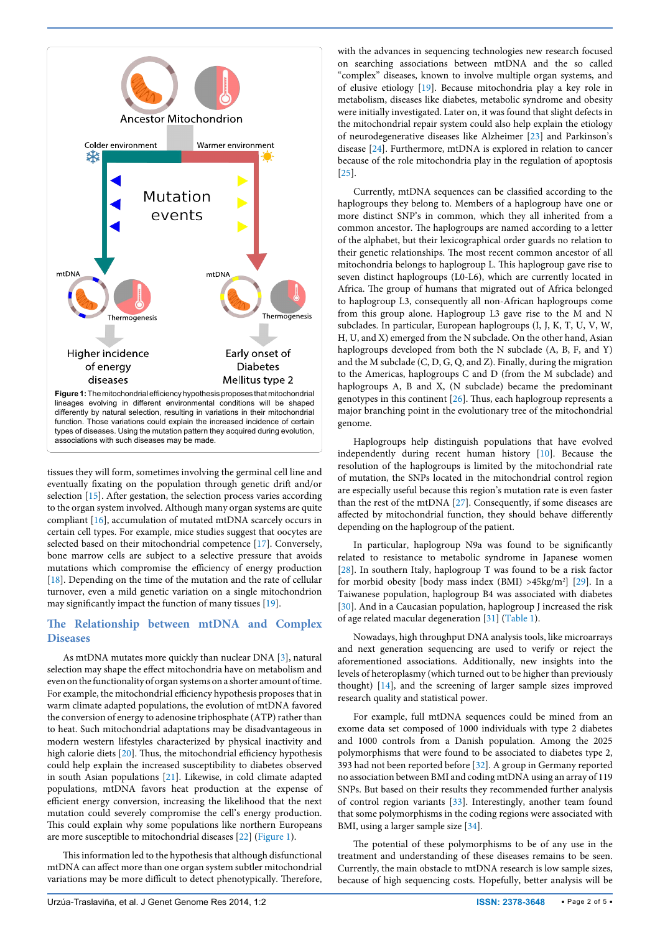<span id="page-1-0"></span>

tissues they will form, sometimes involving the germinal cell line and eventually fixating on the population through genetic drift and/or selection [[15](#page-3-14)]. After gestation, the selection process varies according to the organ system involved. Although many organ systems are quite compliant [[16](#page-3-15)], accumulation of mutated mtDNA scarcely occurs in certain cell types. For example, mice studies suggest that oocytes are selected based on their mitochondrial competence [[17](#page-3-16)]. Conversely, bone marrow cells are subject to a selective pressure that avoids mutations which compromise the efficiency of energy production [[18](#page-3-17)]. Depending on the time of the mutation and the rate of cellular turnover, even a mild genetic variation on a single mitochondrion may significantly impact the function of many tissues [[19](#page-3-18)].

## **The Relationship between mtDNA and Complex Diseases**

As mtDNA mutates more quickly than nuclear DNA [\[3](#page-3-13)], natural selection may shape the effect mitochondria have on metabolism and even on the functionality of organ systems on a shorter amount of time. For example, the mitochondrial efficiency hypothesis proposes that in warm climate adapted populations, the evolution of mtDNA favored the conversion of energy to adenosine triphosphate (ATP) rather than to heat. Such mitochondrial adaptations may be disadvantageous in modern western lifestyles characterized by physical inactivity and high calorie diets [[20](#page-3-19)]. Thus, the mitochondrial efficiency hypothesis could help explain the increased susceptibility to diabetes observed in south Asian populations [[21](#page-3-20)]. Likewise, in cold climate adapted populations, mtDNA favors heat production at the expense of efficient energy conversion, increasing the likelihood that the next mutation could severely compromise the cell's energy production. This could explain why some populations like northern Europeans are more susceptible to mitochondrial diseases [[22](#page-3-21)] ([Figure 1](#page-1-0)).

This information led to the hypothesis that although disfunctional mtDNA can affect more than one organ system subtler mitochondrial variations may be more difficult to detect phenotypically. Therefore, with the advances in sequencing technologies new research focused on searching associations between mtDNA and the so called "complex" diseases, known to involve multiple organ systems, and of elusive etiology [\[19\]](#page-3-18). Because mitochondria play a key role in metabolism, diseases like diabetes, metabolic syndrome and obesity were initially investigated. Later on, it was found that slight defects in the mitochondrial repair system could also help explain the etiology of neurodegenerative diseases like Alzheimer [\[23](#page-3-22)] and Parkinson's disease [[24](#page-3-23)]. Furthermore, mtDNA is explored in relation to cancer because of the role mitochondria play in the regulation of apoptosis [[25](#page-3-24)].

Currently, mtDNA sequences can be classified according to the haplogroups they belong to. Members of a haplogroup have one or more distinct SNP's in common, which they all inherited from a common ancestor. The haplogroups are named according to a letter of the alphabet, but their lexicographical order guards no relation to their genetic relationships. The most recent common ancestor of all mitochondria belongs to haplogroup L. This haplogroup gave rise to seven distinct haplogroups (L0-L6), which are currently located in Africa. The group of humans that migrated out of Africa belonged to haplogroup L3, consequently all non-African haplogroups come from this group alone. Haplogroup L3 gave rise to the M and N subclades. In particular, European haplogroups (I, J, K, T, U, V, W, H, U, and X) emerged from the N subclade. On the other hand, Asian haplogroups developed from both the N subclade (A, B, F, and Y) and the M subclade (C, D, G, Q, and Z). Finally, during the migration to the Americas, haplogroups C and D (from the M subclade) and haplogroups A, B and X, (N subclade) became the predominant genotypes in this continent [[26](#page-3-25)]. Thus, each haplogroup represents a major branching point in the evolutionary tree of the mitochondrial genome.

Haplogroups help distinguish populations that have evolved independently during recent human history [\[10\]](#page-3-6). Because the resolution of the haplogroups is limited by the mitochondrial rate of mutation, the SNPs located in the mitochondrial control region are especially useful because this region's mutation rate is even faster than the rest of the mtDNA [\[27\]](#page-3-26). Consequently, if some diseases are affected by mitochondrial function, they should behave differently depending on the haplogroup of the patient.

In particular, haplogroup N9a was found to be significantly related to resistance to metabolic syndrome in Japanese women [[28](#page-3-27)]. In southern Italy, haplogroup T was found to be a risk factor for morbid obesity [body mass index (BMI) >45kg/m2 ] [[29](#page-3-28)]. In a Taiwanese population, haplogroup B4 was associated with diabetes [[30](#page-3-29)]. And in a Caucasian population, haplogroup J increased the risk of age related macular degeneration [[31](#page-3-30)] ([Table 1](#page-2-0)).

Nowadays, high throughput DNA analysis tools, like microarrays and next generation sequencing are used to verify or reject the aforementioned associations. Additionally, new insights into the levels of heteroplasmy (which turned out to be higher than previously thought) [\[14](#page-3-10)], and the screening of larger sample sizes improved research quality and statistical power.

For example, full mtDNA sequences could be mined from an exome data set composed of 1000 individuals with type 2 diabetes and 1000 controls from a Danish population. Among the 2025 polymorphisms that were found to be associated to diabetes type 2, 393 had not been reported before [\[32\]](#page-3-31). A group in Germany reported no association between BMI and coding mtDNA using an array of 119 SNPs. But based on their results they recommended further analysis of control region variants [\[33](#page-4-0)]. Interestingly, another team found that some polymorphisms in the coding regions were associated with BMI, using a larger sample size [[34](#page-4-1)].

The potential of these polymorphisms to be of any use in the treatment and understanding of these diseases remains to be seen. Currently, the main obstacle to mtDNA research is low sample sizes, because of high sequencing costs. Hopefully, better analysis will be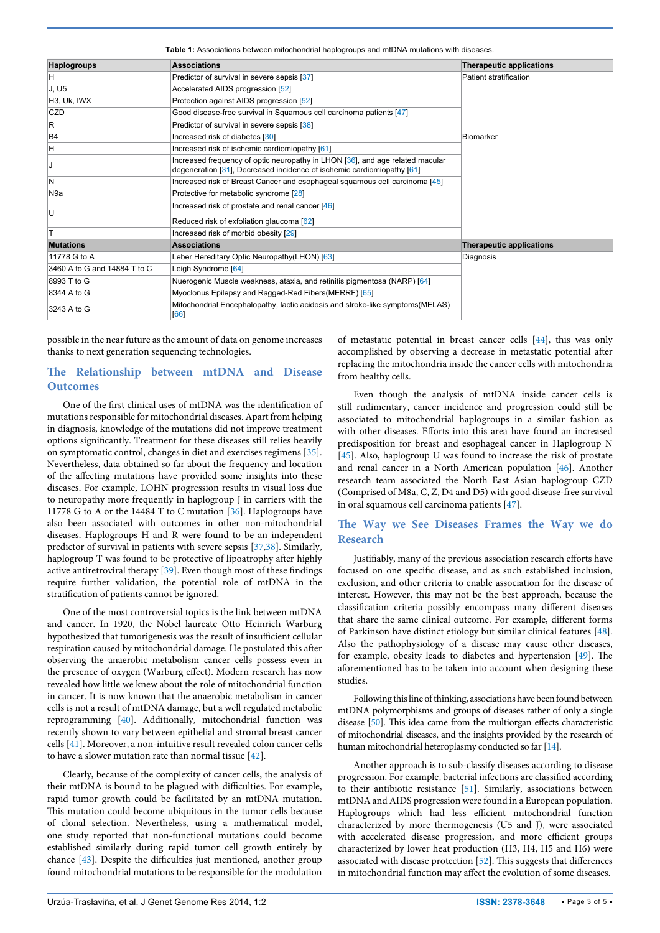<span id="page-2-0"></span>**Table 1:** Associations between mitochondrial haplogroups and mtDNA mutations with diseases.

| <b>Haplogroups</b>           | <b>Associations</b>                                                                                                                                                                  | <b>Therapeutic applications</b> |
|------------------------------|--------------------------------------------------------------------------------------------------------------------------------------------------------------------------------------|---------------------------------|
| H                            | Predictor of survival in severe sepsis [37]                                                                                                                                          | Patient stratification          |
| J, U5                        | Accelerated AIDS progression [52]                                                                                                                                                    |                                 |
| H3, Uk, IWX                  | Protection against AIDS progression [52]                                                                                                                                             |                                 |
| CZD                          | Good disease-free survival in Squamous cell carcinoma patients [47]                                                                                                                  |                                 |
| $\mathsf R$                  | Predictor of survival in severe sepsis [38]                                                                                                                                          |                                 |
| B <sub>4</sub>               | Increased risk of diabetes [30]                                                                                                                                                      | Biomarker                       |
| H                            | Increased risk of ischemic cardiomiopathy [61]                                                                                                                                       |                                 |
| J                            | Increased frequency of optic neuropathy in LHON [36], and age related macular<br>degeneration $\lceil 31 \rceil$ , Decreased incidence of ischemic cardiomiopathy $\lceil 61 \rceil$ |                                 |
| N                            | Increased risk of Breast Cancer and esophageal squamous cell carcinoma [45]                                                                                                          |                                 |
| N <sub>9a</sub>              | Protective for metabolic syndrome [28]                                                                                                                                               |                                 |
|                              | Increased risk of prostate and renal cancer [46]                                                                                                                                     |                                 |
| U                            | Reduced risk of exfoliation glaucoma [62]                                                                                                                                            |                                 |
| T                            | Increased risk of morbid obesity [29]                                                                                                                                                |                                 |
| <b>Mutations</b>             | <b>Associations</b>                                                                                                                                                                  | <b>Therapeutic applications</b> |
| 11778 G to A                 | Leber Hereditary Optic Neuropathy(LHON) [63]                                                                                                                                         | Diagnosis                       |
| 3460 A to G and 14884 T to C | Leigh Syndrome [64]                                                                                                                                                                  |                                 |
| 8993 T to G                  | Nuerogenic Muscle weakness, ataxia, and retinitis pigmentosa (NARP) [64]                                                                                                             |                                 |
| 8344 A to G                  | Myoclonus Epilepsy and Ragged-Red Fibers(MERRF) [65]                                                                                                                                 |                                 |
| 3243 A to G                  | Mitochondrial Encephalopathy, lactic acidosis and stroke-like symptoms(MELAS)<br>[66]                                                                                                |                                 |

possible in the near future as the amount of data on genome increases thanks to next generation sequencing technologies.

# **The Relationship between mtDNA and Disease Outcomes**

One of the first clinical uses of mtDNA was the identification of mutations responsible for mitochondrial diseases. Apart from helping in diagnosis, knowledge of the mutations did not improve treatment options significantly. Treatment for these diseases still relies heavily on symptomatic control, changes in diet and exercises regimens [[35](#page-4-2)]. Nevertheless, data obtained so far about the frequency and location of the affecting mutations have provided some insights into these diseases. For example, LOHN progression results in visual loss due to neuropathy more frequently in haplogroup J in carriers with the 11778 G to A or the 14484 T to C mutation [[36](#page-4-3)]. Haplogroups have also been associated with outcomes in other non-mitochondrial diseases. Haplogroups H and R were found to be an independent predictor of survival in patients with severe sepsis [\[37,](#page-4-4)[38\]](#page-4-5). Similarly, haplogroup T was found to be protective of lipoatrophy after highly active antiretroviral therapy [[39\]](#page-4-6). Even though most of these findings require further validation, the potential role of mtDNA in the stratification of patients cannot be ignored.

One of the most controversial topics is the link between mtDNA and cancer. In 1920, the Nobel laureate Otto Heinrich Warburg hypothesized that tumorigenesis was the result of insufficient cellular respiration caused by mitochondrial damage. He postulated this after observing the anaerobic metabolism cancer cells possess even in the presence of oxygen (Warburg effect). Modern research has now revealed how little we knew about the role of mitochondrial function in cancer. It is now known that the anaerobic metabolism in cancer cells is not a result of mtDNA damage, but a well regulated metabolic reprogramming [\[40\]](#page-4-7). Additionally, mitochondrial function was recently shown to vary between epithelial and stromal breast cancer cells [[41\]](#page-4-8). Moreover, a non-intuitive result revealed colon cancer cells to have a slower mutation rate than normal tissue [\[42\]](#page-4-9).

Clearly, because of the complexity of cancer cells, the analysis of their mtDNA is bound to be plagued with difficulties. For example, rapid tumor growth could be facilitated by an mtDNA mutation. This mutation could become ubiquitous in the tumor cells because of clonal selection. Nevertheless, using a mathematical model, one study reported that non-functional mutations could become established similarly during rapid tumor cell growth entirely by chance [[43\]](#page-4-10). Despite the difficulties just mentioned, another group found mitochondrial mutations to be responsible for the modulation

of metastatic potential in breast cancer cells [\[44\]](#page-4-11), this was only accomplished by observing a decrease in metastatic potential after replacing the mitochondria inside the cancer cells with mitochondria from healthy cells.

Even though the analysis of mtDNA inside cancer cells is still rudimentary, cancer incidence and progression could still be associated to mitochondrial haplogroups in a similar fashion as with other diseases. Efforts into this area have found an increased predisposition for breast and esophageal cancer in Haplogroup N [[45](#page-4-12)]. Also, haplogroup U was found to increase the risk of prostate and renal cancer in a North American population [[46](#page-4-13)]. Another research team associated the North East Asian haplogroup CZD (Comprised of M8a, C, Z, D4 and D5) with good disease-free survival in oral squamous cell carcinoma patients [\[47\]](#page-4-14).

## **The Way we See Diseases Frames the Way we do Research**

Justifiably, many of the previous association research efforts have focused on one specific disease, and as such established inclusion, exclusion, and other criteria to enable association for the disease of interest. However, this may not be the best approach, because the classification criteria possibly encompass many different diseases that share the same clinical outcome. For example, different forms of Parkinson have distinct etiology but similar clinical features [[48\]](#page-4-15). Also the pathophysiology of a disease may cause other diseases, for example, obesity leads to diabetes and hypertension [[49](#page-4-16)]. The aforementioned has to be taken into account when designing these studies.

Following this line of thinking, associations have been found between mtDNA polymorphisms and groups of diseases rather of only a single disease [[50\]](#page-4-17). This idea came from the multiorgan effects characteristic of mitochondrial diseases, and the insights provided by the research of human mitochondrial heteroplasmy conducted so far [\[14\]](#page-3-10).

Another approach is to sub-classify diseases according to disease progression. For example, bacterial infections are classified according to their antibiotic resistance [[51\]](#page-4-18). Similarly, associations between mtDNA and AIDS progression were found in a European population. Haplogroups which had less efficient mitochondrial function characterized by more thermogenesis (U5 and J), were associated with accelerated disease progression, and more efficient groups characterized by lower heat production (H3, H4, H5 and H6) were associated with disease protection [\[52\]](#page-4-19). This suggests that differences in mitochondrial function may affect the evolution of some diseases.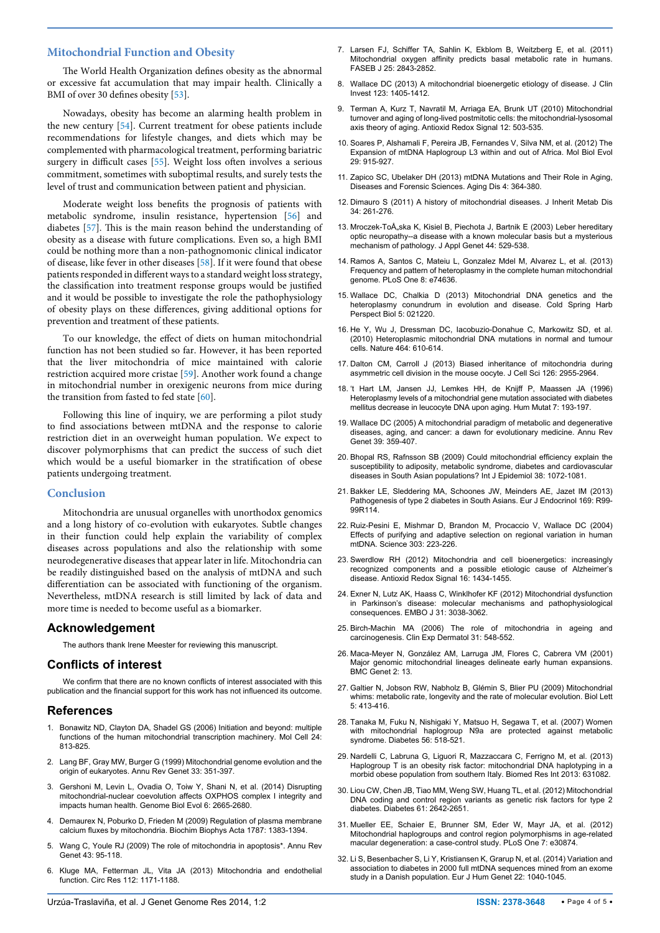#### **Mitochondrial Function and Obesity**

The World Health Organization defines obesity as the abnormal or excessive fat accumulation that may impair health. Clinically a BMI of over 30 defines obesity [\[53\]](#page-4-26).

Nowadays, obesity has become an alarming health problem in the new century [\[54](#page-4-27)]. Current treatment for obese patients include recommendations for lifestyle changes, and diets which may be complemented with pharmacological treatment, performing bariatric surgery in difficult cases [\[55\]](#page-4-28). Weight loss often involves a serious commitment, sometimes with suboptimal results, and surely tests the level of trust and communication between patient and physician.

Moderate weight loss benefits the prognosis of patients with metabolic syndrome, insulin resistance, hypertension [\[56\]](#page-4-29) and diabetes [\[57\]](#page-4-30). This is the main reason behind the understanding of obesity as a disease with future complications. Even so, a high BMI could be nothing more than a non-pathognomonic clinical indicator of disease, like fever in other diseases [[58](#page-4-31)]. If it were found that obese patients responded in different ways to a standard weight loss strategy, the classification into treatment response groups would be justified and it would be possible to investigate the role the pathophysiology of obesity plays on these differences, giving additional options for prevention and treatment of these patients.

To our knowledge, the effect of diets on human mitochondrial function has not been studied so far. However, it has been reported that the liver mitochondria of mice maintained with calorie restriction acquired more cristae [[59](#page-4-32)]. Another work found a change in mitochondrial number in orexigenic neurons from mice during the transition from fasted to fed state  $[60]$  $[60]$ .

Following this line of inquiry, we are performing a pilot study to find associations between mtDNA and the response to calorie restriction diet in an overweight human population. We expect to discover polymorphisms that can predict the success of such diet which would be a useful biomarker in the stratification of obese patients undergoing treatment.

### **Conclusion**

Mitochondria are unusual organelles with unorthodox genomics and a long history of co-evolution with eukaryotes. Subtle changes in their function could help explain the variability of complex diseases across populations and also the relationship with some neurodegenerative diseases that appear later in life. Mitochondria can be readily distinguished based on the analysis of mtDNA and such differentiation can be associated with functioning of the organism. Nevertheless, mtDNA research is still limited by lack of data and more time is needed to become useful as a biomarker.

#### **Acknowledgement**

The authors thank Irene Meester for reviewing this manuscript.

#### **Conflicts of interest**

We confirm that there are no known conflicts of interest associated with this publication and the financial support for this work has not influenced its outcome.

#### **References**

- <span id="page-3-11"></span>1. [Bonawitz ND, Clayton DA, Shadel GS \(2006\) Initiation and beyond: multiple](http://www.ncbi.nlm.nih.gov/pubmed/17189185)  [functions of the human mitochondrial transcription machinery. Mol Cell 24:](http://www.ncbi.nlm.nih.gov/pubmed/17189185)  [813-825.](http://www.ncbi.nlm.nih.gov/pubmed/17189185)
- <span id="page-3-12"></span>2. [Lang BF, Gray MW, Burger G \(1999\) Mitochondrial genome evolution and the](http://www.ncbi.nlm.nih.gov/pubmed/10690412)  [origin of eukaryotes. Annu Rev Genet 33: 351-397.](http://www.ncbi.nlm.nih.gov/pubmed/10690412)
- <span id="page-3-13"></span>3. [Gershoni M, Levin L, Ovadia O, Toiw Y, Shani N, et al. \(2014\) Disrupting](http://www.ncbi.nlm.nih.gov/pubmed/25245408)  [mitochondrial-nuclear coevolution affects OXPHOS complex I integrity and](http://www.ncbi.nlm.nih.gov/pubmed/25245408)  [impacts human health. Genome Biol Evol 6: 2665-2680.](http://www.ncbi.nlm.nih.gov/pubmed/25245408)
- <span id="page-3-0"></span>4. [Demaurex N, Poburko D, Frieden M \(2009\) Regulation of plasma membrane](http://www.ncbi.nlm.nih.gov/pubmed/19161976)  [calcium fluxes by mitochondria. Biochim Biophys Acta 1787: 1383-1394.](http://www.ncbi.nlm.nih.gov/pubmed/19161976)
- <span id="page-3-1"></span>5. [Wang C, Youle RJ \(2009\) The role of mitochondria in apoptosis\\*. Annu Rev](http://www.ncbi.nlm.nih.gov/pubmed/19659442)  [Genet 43: 95-118.](http://www.ncbi.nlm.nih.gov/pubmed/19659442)
- <span id="page-3-2"></span>6. [Kluge MA, Fetterman JL, Vita JA \(2013\) Mitochondria and endothelial](http://www.ncbi.nlm.nih.gov/pubmed/23580773)  [function. Circ Res 112: 1171-1188.](http://www.ncbi.nlm.nih.gov/pubmed/23580773)
- <span id="page-3-3"></span>7. [Larsen FJ, Schiffer TA, Sahlin K, Ekblom B, Weitzberg E, et al. \(2011\)](http://www.ncbi.nlm.nih.gov/pubmed/21576503)  [Mitochondrial oxygen affinity predicts basal metabolic rate in humans.](http://www.ncbi.nlm.nih.gov/pubmed/21576503)  [FASEB J 25: 2843-2852.](http://www.ncbi.nlm.nih.gov/pubmed/21576503)
- <span id="page-3-4"></span>8. [Wallace DC \(2013\) A mitochondrial bioenergetic etiology of disease. J Clin](http://www.ncbi.nlm.nih.gov/pubmed/23543062)  [Invest 123: 1405-1412.](http://www.ncbi.nlm.nih.gov/pubmed/23543062)
- <span id="page-3-5"></span>9. [Terman A, Kurz T, Navratil M, Arriaga EA, Brunk UT \(2010\) Mitochondrial](http://www.ncbi.nlm.nih.gov/pubmed/19650712)  [turnover and aging of long-lived postmitotic cells: the mitochondrial-lysosomal](http://www.ncbi.nlm.nih.gov/pubmed/19650712)  [axis theory of aging. Antioxid Redox Signal 12: 503-535.](http://www.ncbi.nlm.nih.gov/pubmed/19650712)
- <span id="page-3-6"></span>10. [Soares P, Alshamali F, Pereira JB, Fernandes V, Silva NM, et al. \(2012\) The](http://www.ncbi.nlm.nih.gov/pubmed/22096215)  [Expansion of mtDNA Haplogroup L3 within and out of Africa. Mol Biol Evol](http://www.ncbi.nlm.nih.gov/pubmed/22096215)  [29: 915-927.](http://www.ncbi.nlm.nih.gov/pubmed/22096215)
- <span id="page-3-7"></span>11. [Zapico SC, Ubelaker DH \(2013\) mtDNA Mutations and Their Role in Aging,](http://www.ncbi.nlm.nih.gov/pubmed/24307969)  [Diseases and Forensic Sciences. Aging Dis 4: 364-380.](http://www.ncbi.nlm.nih.gov/pubmed/24307969)
- <span id="page-3-8"></span>12. [Dimauro S \(2011\) A history of mitochondrial diseases. J Inherit Metab Dis](http://www.ncbi.nlm.nih.gov/pubmed/20490929)  [34: 261-276.](http://www.ncbi.nlm.nih.gov/pubmed/20490929)
- <span id="page-3-9"></span>13. Mroczek-Tońska K, Kisiel B, Piechota J, Bartnik E (2003) Leber hereditary [optic neuropathy--a disease with a known molecular basis but a mysterious](http://www.ncbi.nlm.nih.gov/pubmed/14617834)  [mechanism of pathology. J Appl Genet 44: 529-538.](http://www.ncbi.nlm.nih.gov/pubmed/14617834)
- <span id="page-3-10"></span>14. [Ramos A, Santos C, Mateiu L, Gonzalez Mdel M, Alvarez L, et al. \(2013\)](http://www.ncbi.nlm.nih.gov/pubmed/24098342)  [Frequency and pattern of heteroplasmy in the complete human mitochondrial](http://www.ncbi.nlm.nih.gov/pubmed/24098342)  [genome. PLoS One 8: e74636.](http://www.ncbi.nlm.nih.gov/pubmed/24098342)
- <span id="page-3-14"></span>15. [Wallace DC, Chalkia D \(2013\) Mitochondrial DNA genetics and the](http://www.ncbi.nlm.nih.gov/pubmed/24186072)  [heteroplasmy conundrum in evolution and disease. Cold Spring Harb](http://www.ncbi.nlm.nih.gov/pubmed/24186072)  [Perspect Biol 5: 021220.](http://www.ncbi.nlm.nih.gov/pubmed/24186072)
- <span id="page-3-15"></span>16. [He Y, Wu J, Dressman DC, Iacobuzio-Donahue C, Markowitz SD, et al.](http://www.ncbi.nlm.nih.gov/pubmed/20200521)  [\(2010\) Heteroplasmic mitochondrial DNA mutations in normal and tumour](http://www.ncbi.nlm.nih.gov/pubmed/20200521)  [cells. Nature 464: 610-614.](http://www.ncbi.nlm.nih.gov/pubmed/20200521)
- <span id="page-3-16"></span>17. [Dalton CM, Carroll J \(2013\) Biased inheritance of mitochondria during](http://www.ncbi.nlm.nih.gov/pubmed/23659999)  [asymmetric cell division in the mouse oocyte. J Cell Sci 126: 2955-2964.](http://www.ncbi.nlm.nih.gov/pubmed/23659999)
- <span id="page-3-17"></span>18. 't Hart LM, Jansen JJ, Lemkes HH, de Knijff P, Maassen JA (1996) Heteroplasmy levels of a mitochondrial gene mutation associated with diabetes mellitus decrease in leucocyte DNA upon aging. Hum Mutat 7: 193-197.
- <span id="page-3-18"></span>19. [Wallace DC \(2005\) A mitochondrial paradigm of metabolic and degenerative](http://www.ncbi.nlm.nih.gov/pubmed/16285865)  [diseases, aging, and cancer: a dawn for evolutionary medicine. Annu Rev](http://www.ncbi.nlm.nih.gov/pubmed/16285865)  [Genet 39: 359-407.](http://www.ncbi.nlm.nih.gov/pubmed/16285865)
- <span id="page-3-19"></span>20. [Bhopal RS, Rafnsson SB \(2009\) Could mitochondrial efficiency explain the](http://www.ncbi.nlm.nih.gov/pubmed/19423659)  [susceptibility to adiposity, metabolic syndrome, diabetes and cardiovascular](http://www.ncbi.nlm.nih.gov/pubmed/19423659)  [diseases in South Asian populations? Int J Epidemiol 38: 1072-1081.](http://www.ncbi.nlm.nih.gov/pubmed/19423659)
- <span id="page-3-20"></span>21. Bakker LE, Sleddering MA, Schoones JW, Meinders AE, Jazet IM (2013) Pathogenesis of type 2 diabetes in South Asians. Eur J Endocrinol 169: R99- 99R114.
- <span id="page-3-21"></span>22. [Ruiz-Pesini E, Mishmar D, Brandon M, Procaccio V, Wallace DC \(2004\)](http://www.ncbi.nlm.nih.gov/pubmed/14716012)  [Effects of purifying and adaptive selection on regional variation in human](http://www.ncbi.nlm.nih.gov/pubmed/14716012)  [mtDNA. Science 303: 223-226.](http://www.ncbi.nlm.nih.gov/pubmed/14716012)
- <span id="page-3-22"></span>23. [Swerdlow RH \(2012\) Mitochondria and cell bioenergetics: increasingly](http://www.ncbi.nlm.nih.gov/pubmed/21902597)  [recognized components and a possible etiologic cause of Alzheimer's](http://www.ncbi.nlm.nih.gov/pubmed/21902597)  [disease. Antioxid Redox Signal 16: 1434-1455.](http://www.ncbi.nlm.nih.gov/pubmed/21902597)
- <span id="page-3-23"></span>24. [Exner N, Lutz AK, Haass C, Winklhofer KF \(2012\) Mitochondrial dysfunction](http://www.ncbi.nlm.nih.gov/pubmed/22735187)  [in Parkinson's disease: molecular mechanisms and pathophysiological](http://www.ncbi.nlm.nih.gov/pubmed/22735187)  [consequences. EMBO J 31: 3038-3062.](http://www.ncbi.nlm.nih.gov/pubmed/22735187)
- <span id="page-3-24"></span>25. [Birch-Machin MA \(2006\) The role of mitochondria in ageing and](http://www.ncbi.nlm.nih.gov/pubmed/16716161)  [carcinogenesis. Clin Exp Dermatol 31: 548-552.](http://www.ncbi.nlm.nih.gov/pubmed/16716161)
- <span id="page-3-25"></span>26. [Maca-Meyer N, González AM, Larruga JM, Flores C, Cabrera VM \(2001\)](http://www.ncbi.nlm.nih.gov/pubmed/11553319)  Major genomic mitochondrial lineages delineate early human expansions. [BMC Genet 2: 13.](http://www.ncbi.nlm.nih.gov/pubmed/11553319)
- <span id="page-3-26"></span>27. [Galtier N, Jobson RW, Nabholz B, Glémin S, Blier PU \(2009\) Mitochondrial](http://www.ncbi.nlm.nih.gov/pubmed/19324654)  [whims: metabolic rate, longevity and the rate of molecular evolution. Biol Lett](http://www.ncbi.nlm.nih.gov/pubmed/19324654)  [5: 413-416.](http://www.ncbi.nlm.nih.gov/pubmed/19324654)
- <span id="page-3-27"></span>28. [Tanaka M, Fuku N, Nishigaki Y, Matsuo H, Segawa T, et al. \(2007\) Women](http://www.ncbi.nlm.nih.gov/pubmed/17259400)  [with mitochondrial haplogroup N9a are protected against metabolic](http://www.ncbi.nlm.nih.gov/pubmed/17259400)  [syndrome. Diabetes 56: 518-521.](http://www.ncbi.nlm.nih.gov/pubmed/17259400)
- <span id="page-3-28"></span>29. [Nardelli C, Labruna G, Liguori R, Mazzaccara C, Ferrigno M, et al. \(2013\)](http://www.ncbi.nlm.nih.gov/pubmed/23936828)  Haplogroup T is an obesity risk factor: mitochondrial DNA haplotyping in a [morbid obese population from southern Italy. Biomed Res Int 2013: 631082.](http://www.ncbi.nlm.nih.gov/pubmed/23936828)
- <span id="page-3-29"></span>30. [Liou CW, Chen JB, Tiao MM, Weng SW, Huang TL, et al. \(2012\) Mitochondrial](http://www.ncbi.nlm.nih.gov/pubmed/22891220)  [DNA coding and control region variants as genetic risk factors for type 2](http://www.ncbi.nlm.nih.gov/pubmed/22891220)  [diabetes. Diabetes 61: 2642-2651.](http://www.ncbi.nlm.nih.gov/pubmed/22891220)
- <span id="page-3-30"></span>31. [Mueller EE, Schaier E, Brunner SM, Eder W, Mayr JA, et al. \(2012\)](http://www.ncbi.nlm.nih.gov/pubmed/22348027)  [Mitochondrial haplogroups and control region polymorphisms in age-related](http://www.ncbi.nlm.nih.gov/pubmed/22348027)  [macular degeneration: a case-control study. PLoS One 7: e30874.](http://www.ncbi.nlm.nih.gov/pubmed/22348027)
- <span id="page-3-31"></span>32. [Li S, Besenbacher S, Li Y, Kristiansen K, Grarup N, et al. \(2014\) Variation and](http://www.ncbi.nlm.nih.gov/pubmed/24448545)  [association to diabetes in 2000 full mtDNA sequences mined from an exome](http://www.ncbi.nlm.nih.gov/pubmed/24448545)  [study in a Danish population. Eur J Hum Genet 22: 1040-1045.](http://www.ncbi.nlm.nih.gov/pubmed/24448545)